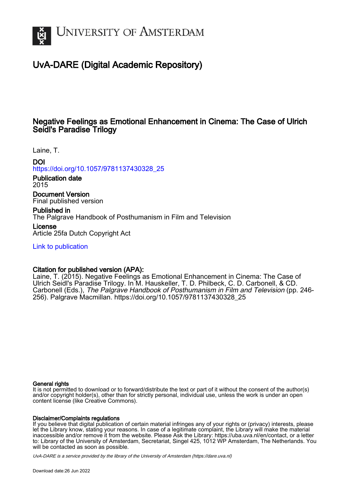

## UvA-DARE (Digital Academic Repository)

## Negative Feelings as Emotional Enhancement in Cinema: The Case of Ulrich Seidl's Paradise Trilogy

Laine, T.

DOI [https://doi.org/10.1057/9781137430328\\_25](https://doi.org/10.1057/9781137430328_25)

Publication date 2015

Document Version Final published version

Published in The Palgrave Handbook of Posthumanism in Film and Television

License Article 25fa Dutch Copyright Act

[Link to publication](https://dare.uva.nl/personal/pure/en/publications/negative-feelings-as-emotional-enhancement-in-cinema-the-case-of-ulrich-seidls-paradise-trilogy(f036921f-2dda-4e8a-bd38-ea485de046c9).html)

### Citation for published version (APA):

Laine, T. (2015). Negative Feelings as Emotional Enhancement in Cinema: The Case of Ulrich Seidl's Paradise Trilogy. In M. Hauskeller, T. D. Philbeck, C. D. Carbonell, & CD. Carbonell (Eds.), The Palgrave Handbook of Posthumanism in Film and Television (pp. 246- 256). Palgrave Macmillan. [https://doi.org/10.1057/9781137430328\\_25](https://doi.org/10.1057/9781137430328_25)

### General rights

It is not permitted to download or to forward/distribute the text or part of it without the consent of the author(s) and/or copyright holder(s), other than for strictly personal, individual use, unless the work is under an open content license (like Creative Commons).

### Disclaimer/Complaints regulations

If you believe that digital publication of certain material infringes any of your rights or (privacy) interests, please let the Library know, stating your reasons. In case of a legitimate complaint, the Library will make the material inaccessible and/or remove it from the website. Please Ask the Library: https://uba.uva.nl/en/contact, or a letter to: Library of the University of Amsterdam, Secretariat, Singel 425, 1012 WP Amsterdam, The Netherlands. You will be contacted as soon as possible.

UvA-DARE is a service provided by the library of the University of Amsterdam (http*s*://dare.uva.nl)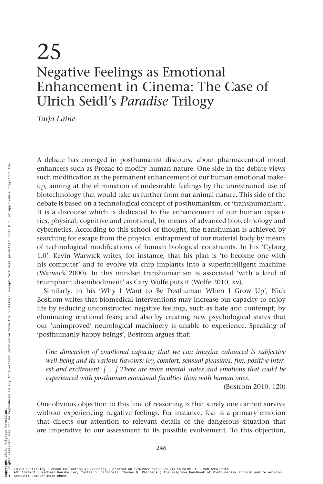# 25 Negative Feelings as Emotional Enhancement in Cinema: The Case of Ulrich Seidl's *Paradise* Trilogy

*Tarja Laine*

A debate has emerged in posthumanist discourse about pharmaceutical mood enhancers such as Prozac to modify human nature. One side in the debate views such modification as the permanent enhancement of our human emotional makeup, aiming at the elimination of undesirable feelings by the unrestrained use of biotechnology that would take us further from our animal nature. This side of the debate is based on a technological concept of posthumanism, or 'transhumanism'. It is a discourse which is dedicated to the enhancement of our human capacities, physical, cognitive and emotional, by means of advanced biotechnology and cybernetics. According to this school of thought, the transhuman is achieved by searching for escape from the physical entrapment of our material body by means of technological modifications of human biological constraints. In his 'Cyborg 1.0'. Kevin Warwick writes, for instance, that his plan is 'to become one with his computer' and to evolve via chip implants into a superintelligent machine (Warwick 2000). In this mindset transhumanism is associated 'with a kind of triumphant disembodiment' as Cary Wolfe puts it (Wolfe 2010, xv).

Similarly, in his 'Why I Want to Be Posthuman When I Grow Up', Nick Bostrom writes that biomedical interventions may increase our capacity to enjoy life by reducing unconstructed negative feelings, such as hate and contempt; by eliminating irrational fears; and also by creating new psychological states that our 'unimproved' neurological machinery is unable to experience. Speaking of 'posthumanly happy beings', Bostrom argues that:

*One dimension of emotional capacity that we can imagine enhanced is subjective well-being and its various flavours: joy, comfort, sensual pleasures, fun, positive interest and excitement. [* ... *] There are more mental states and emotions that could be experienced with posthuman emotional faculties than with human ones.*

(Bostrom 2010, 120)

One obvious objection to this line of reasoning is that surely one cannot survive without experiencing negative feelings. For instance, fear is a primary emotion that directs our attention to relevant details of the dangerous situation that are imperative to our assessment to its possible evolvement. To this objection,

law. All rights reserved. May not be reproduced in any form without permission from the publisher, except fair uses permitted under U.S. or applicable copyright law. applicable copyright  $\overline{\mathbf{a}}$  $_{\rm 5}^{\rm 5}.$ under permitted uses except fair publisher, permission from the any form without  $\mathbf{m}$ Macmillan.<br>not be reproduced Copyright 2015. Palgrave Macmillan. pyright 2015. Palgrave<br>1 rights reserved. May Яä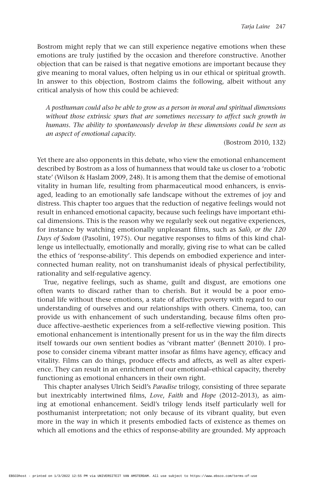Bostrom might reply that we can still experience negative emotions when these emotions are truly justified by the occasion and therefore constructive. Another objection that can be raised is that negative emotions are important because they give meaning to moral values, often helping us in our ethical or spiritual growth. In answer to this objection, Bostrom claims the following, albeit without any critical analysis of how this could be achieved:

*A posthuman could also be able to grow as a person in moral and spiritual dimensions without those extrinsic spurs that are sometimes necessary to affect such growth in humans. The ability to spontaneously develop in these dimensions could be seen as an aspect of emotional capacity.*

(Bostrom 2010, 132)

Yet there are also opponents in this debate, who view the emotional enhancement described by Bostrom as a loss of humanness that would take us closer to a 'robotic state' (Wilson & Haslam 2009, 248). It is among them that the demise of emotional vitality in human life, resulting from pharmaceutical mood enhancers, is envisaged, leading to an emotionally safe landscape without the extremes of joy and distress. This chapter too argues that the reduction of negative feelings would not result in enhanced emotional capacity, because such feelings have important ethical dimensions. This is the reason why we regularly seek out negative experiences, for instance by watching emotionally unpleasant films, such as *Salò, or the 120 Days of Sodom* (Pasolini, 1975). Our negative responses to films of this kind challenge us intellectually, emotionally and morally, giving rise to what can be called the ethics of 'response-ability'. This depends on embodied experience and interconnected human reality, not on transhumanist ideals of physical perfectibility, rationality and self-regulative agency.

True, negative feelings, such as shame, guilt and disgust, are emotions one often wants to discard rather than to cherish. But it would be a poor emotional life without these emotions, a state of affective poverty with regard to our understanding of ourselves and our relationships with others. Cinema, too, can provide us with enhancement of such understanding, because films often produce affective–aesthetic experiences from a self-reflective viewing position. This emotional enhancement is intentionally present for us in the way the film directs itself towards our own sentient bodies as 'vibrant matter' (Bennett 2010). I propose to consider cinema vibrant matter insofar as films have agency, efficacy and vitality. Films can do things, produce effects and affects, as well as alter experience. They can result in an enrichment of our emotional–ethical capacity, thereby functioning as emotional enhancers in their own right.

This chapter analyses Ulrich Seidl's *Paradise* trilogy, consisting of three separate but inextricably intertwined films, *Love*, *Faith* and *Hope* (2012–2013), as aiming at emotional enhancement. Seidl's trilogy lends itself particularly well for posthumanist interpretation; not only because of its vibrant quality, but even more in the way in which it presents embodied facts of existence as themes on which all emotions and the ethics of response-ability are grounded. My approach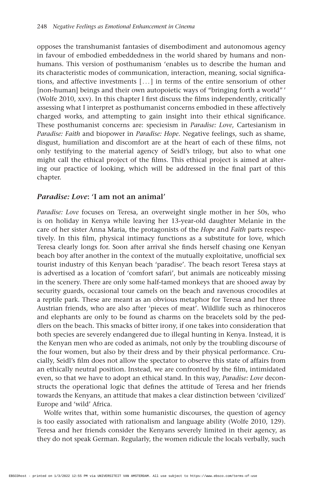opposes the transhumanist fantasies of disembodiment and autonomous agency in favour of embodied embeddedness in the world shared by humans and nonhumans. This version of posthumanism 'enables us to describe the human and its characteristic modes of communication, interaction, meaning, social significations, and affective investments [ ... ] in terms of the entire sensorium of other [non-human] beings and their own autopoietic ways of "bringing forth a world" ' (Wolfe 2010, xxv). In this chapter I first discuss the films independently, critically assessing what I interpret as posthumanist concerns embodied in these affectively charged works, and attempting to gain insight into their ethical significance. These posthumanist concerns are: speciesism in *Paradise: Love*, Cartesianism in *Paradise: Faith* and biopower in *Paradise: Hope*. Negative feelings, such as shame, disgust, humiliation and discomfort are at the heart of each of these films, not only testifying to the material agency of Seidl's trilogy, but also to what one might call the ethical project of the films. This ethical project is aimed at altering our practice of looking, which will be addressed in the final part of this chapter.

### *Paradise: Love***: 'I am not an animal'**

*Paradise: Love* focuses on Teresa, an overweight single mother in her 50s, who is on holiday in Kenya while leaving her 13-year-old daughter Melanie in the care of her sister Anna Maria, the protagonists of the *Hope* and *Faith* parts respectively. In this film, physical intimacy functions as a substitute for love, which Teresa clearly longs for. Soon after arrival she finds herself chasing one Kenyan beach boy after another in the context of the mutually exploitative, unofficial sex tourist industry of this Kenyan beach 'paradise'. The beach resort Teresa stays at is advertised as a location of 'comfort safari', but animals are noticeably missing in the scenery. There are only some half-tamed monkeys that are shooed away by security guards, occasional tour camels on the beach and ravenous crocodiles at a reptile park. These are meant as an obvious metaphor for Teresa and her three Austrian friends, who are also after 'pieces of meat'. Wildlife such as rhinoceros and elephants are only to be found as charms on the bracelets sold by the peddlers on the beach. This smacks of bitter irony, if one takes into consideration that both species are severely endangered due to illegal hunting in Kenya. Instead, it is the Kenyan men who are coded as animals, not only by the troubling discourse of the four women, but also by their dress and by their physical performance. Crucially, Seidl's film does not allow the spectator to observe this state of affairs from an ethically neutral position. Instead, we are confronted by the film, intimidated even, so that we have to adopt an ethical stand. In this way, *Paradise: Love* deconstructs the operational logic that defines the attitude of Teresa and her friends towards the Kenyans, an attitude that makes a clear distinction between 'civilized' Europe and 'wild' Africa.

Wolfe writes that, within some humanistic discourses, the question of agency is too easily associated with rationalism and language ability (Wolfe 2010, 129). Teresa and her friends consider the Kenyans severely limited in their agency, as they do not speak German. Regularly, the women ridicule the locals verbally, such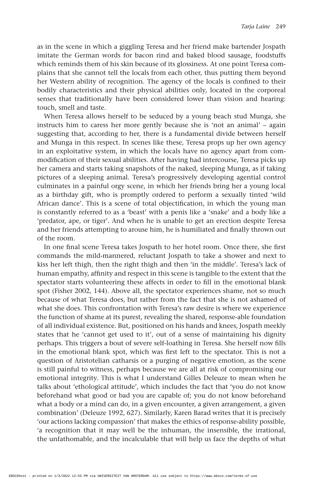as in the scene in which a giggling Teresa and her friend make bartender Jospath imitate the German words for bacon rind and baked blood sausage, foodstuffs which reminds them of his skin because of its glossiness. At one point Teresa complains that she cannot tell the locals from each other, thus putting them beyond her Western ability of recognition. The agency of the locals is confined to their bodily characteristics and their physical abilities only, located in the corporeal senses that traditionally have been considered lower than vision and hearing: touch, smell and taste.

When Teresa allows herself to be seduced by a young beach stud Munga, she instructs him to caress her more gently because she is 'not an animal' – again suggesting that, according to her, there is a fundamental divide between herself and Munga in this respect. In scenes like these, Teresa props up her own agency in an exploitative system, in which the locals have no agency apart from commodification of their sexual abilities. After having had intercourse, Teresa picks up her camera and starts taking snapshots of the naked, sleeping Munga, as if taking pictures of a sleeping animal. Teresa's progressively developing agential control culminates in a painful orgy scene, in which her friends bring her a young local as a birthday gift, who is promptly ordered to perform a sexually tinted 'wild African dance'. This is a scene of total objectification, in which the young man is constantly referred to as a 'beast' with a penis like a 'snake' and a body like a 'predator, ape, or tiger'. And when he is unable to get an erection despite Teresa and her friends attempting to arouse him, he is humiliated and finally thrown out of the room.

In one final scene Teresa takes Jospath to her hotel room. Once there, she first commands the mild-mannered, reluctant Jospath to take a shower and next to kiss her left thigh, then the right thigh and then 'in the middle'. Teresa's lack of human empathy, affinity and respect in this scene is tangible to the extent that the spectator starts volunteering these affects in order to fill in the emotional blank spot (Fisher 2002, 144). Above all, the spectator experiences shame, not so much because of what Teresa does, but rather from the fact that she is not ashamed of what she does. This confrontation with Teresa's raw desire is where we experience the function of shame at its purest, revealing the shared, response-able foundation of all individual existence. But, positioned on his hands and knees, Jospath meekly states that he 'cannot get used to it', out of a sense of maintaining his dignity perhaps. This triggers a bout of severe self-loathing in Teresa. She herself now fills in the emotional blank spot, which was first left to the spectator. This is not a question of Aristotelian catharsis or a purging of negative emotion, as the scene is still painful to witness, perhaps because we are all at risk of compromising our emotional integrity. This is what I understand Gilles Deleuze to mean when he talks about 'ethological attitude', which includes the fact that 'you do not know beforehand what good or bad you are capable of; you do not know beforehand what a body or a mind can do, in a given encounter, a given arrangement, a given combination' (Deleuze 1992, 627). Similarly, Karen Barad writes that it is precisely 'our actions lacking compassion' that makes the ethics of response-ability possible, 'a recognition that it may well be the inhuman, the insensible, the irrational, the unfathomable, and the incalculable that will help us face the depths of what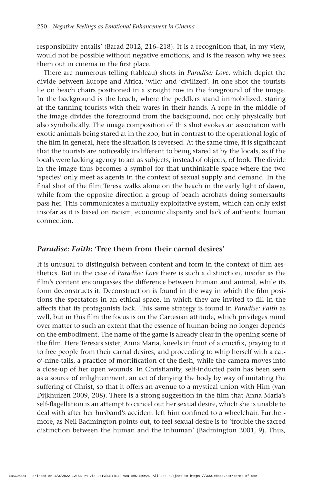responsibility entails' (Barad 2012, 216–218). It is a recognition that, in my view, would not be possible without negative emotions, and is the reason why we seek them out in cinema in the first place.

There are numerous telling (tableau) shots in *Paradise: Love*, which depict the divide between Europe and Africa, 'wild' and 'civilized'. In one shot the tourists lie on beach chairs positioned in a straight row in the foreground of the image. In the background is the beach, where the peddlers stand immobilized, staring at the tanning tourists with their wares in their hands. A rope in the middle of the image divides the foreground from the background, not only physically but also symbolically. The image composition of this shot evokes an association with exotic animals being stared at in the zoo, but in contrast to the operational logic of the film in general, here the situation is reversed. At the same time, it is significant that the tourists are noticeably indifferent to being stared at by the locals, as if the locals were lacking agency to act as subjects, instead of objects, of look. The divide in the image thus becomes a symbol for that unthinkable space where the two 'species' only meet as agents in the context of sexual supply and demand. In the final shot of the film Teresa walks alone on the beach in the early light of dawn, while from the opposite direction a group of beach acrobats doing somersaults pass her. This communicates a mutually exploitative system, which can only exist insofar as it is based on racism, economic disparity and lack of authentic human connection.

### *Paradise: Faith***: 'Free them from their carnal desires'**

It is unusual to distinguish between content and form in the context of film aesthetics. But in the case of *Paradise: Love* there is such a distinction, insofar as the film's content encompasses the difference between human and animal, while its form deconstructs it. Deconstruction is found in the way in which the film positions the spectators in an ethical space, in which they are invited to fill in the affects that its protagonists lack. This same strategy is found in *Paradise: Faith* as well, but in this film the focus is on the Cartesian attitude, which privileges mind over matter to such an extent that the essence of human being no longer depends on the embodiment. The name of the game is already clear in the opening scene of the film. Here Teresa's sister, Anna Maria, kneels in front of a crucifix, praying to it to free people from their carnal desires, and proceeding to whip herself with a cato'-nine-tails, a practice of mortification of the flesh, while the camera moves into a close-up of her open wounds. In Christianity, self-inducted pain has been seen as a source of enlightenment, an act of denying the body by way of imitating the suffering of Christ, so that it offers an avenue to a mystical union with Him (van Dijkhuizen 2009, 208). There is a strong suggestion in the film that Anna Maria's self-flagellation is an attempt to cancel out her sexual desire, which she is unable to deal with after her husband's accident left him confined to a wheelchair. Furthermore, as Neil Badmington points out, to feel sexual desire is to 'trouble the sacred distinction between the human and the inhuman' (Badmington 2001, 9). Thus,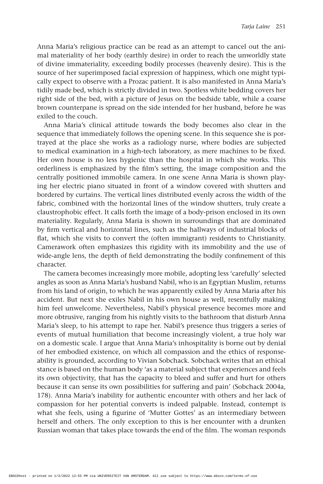Anna Maria's religious practice can be read as an attempt to cancel out the animal materiality of her body (earthly desire) in order to reach the unworldly state of divine immateriality, exceeding bodily processes (heavenly desire). This is the source of her superimposed facial expression of happiness, which one might typically expect to observe with a Prozac patient. It is also manifested in Anna Maria's tidily made bed, which is strictly divided in two. Spotless white bedding covers her right side of the bed, with a picture of Jesus on the bedside table, while a coarse brown counterpane is spread on the side intended for her husband, before he was exiled to the couch.

Anna Maria's clinical attitude towards the body becomes also clear in the sequence that immediately follows the opening scene. In this sequence she is portrayed at the place she works as a radiology nurse, where bodies are subjected to medical examination in a high-tech laboratory, as mere machines to be fixed. Her own house is no less hygienic than the hospital in which she works. This orderliness is emphasized by the film's setting, the image composition and the centrally positioned immobile camera. In one scene Anna Maria is shown playing her electric piano situated in front of a window covered with shutters and bordered by curtains. The vertical lines distributed evenly across the width of the fabric, combined with the horizontal lines of the window shutters, truly create a claustrophobic effect. It calls forth the image of a body-prison enclosed in its own materiality. Regularly, Anna Maria is shown in surroundings that are dominated by firm vertical and horizontal lines, such as the hallways of industrial blocks of flat, which she visits to convert the (often immigrant) residents to Christianity. Camerawork often emphasizes this rigidity with its immobility and the use of wide-angle lens, the depth of field demonstrating the bodily confinement of this character.

The camera becomes increasingly more mobile, adopting less 'carefully' selected angles as soon as Anna Maria's husband Nabil, who is an Egyptian Muslim, returns from his land of origin, to which he was apparently exiled by Anna Maria after his accident. But next she exiles Nabil in his own house as well, resentfully making him feel unwelcome. Nevertheless, Nabil's physical presence becomes more and more obtrusive, ranging from his nightly visits to the bathroom that disturb Anna Maria's sleep, to his attempt to rape her. Nabil's presence thus triggers a series of events of mutual humiliation that become increasingly violent, a true holy war on a domestic scale. I argue that Anna Maria's inhospitality is borne out by denial of her embodied existence, on which all compassion and the ethics of responseability is grounded, according to Vivian Sobchack. Sobchack writes that an ethical stance is based on the human body 'as a material subject that experiences and feels its own objectivity, that has the capacity to bleed and suffer and hurt for others because it can sense its own possibilities for suffering and pain' (Sobchack 2004a, 178). Anna Maria's inability for authentic encounter with others and her lack of compassion for her potential converts is indeed palpable. Instead, contempt is what she feels, using a figurine of 'Mutter Gottes' as an intermediary between herself and others. The only exception to this is her encounter with a drunken Russian woman that takes place towards the end of the film. The woman responds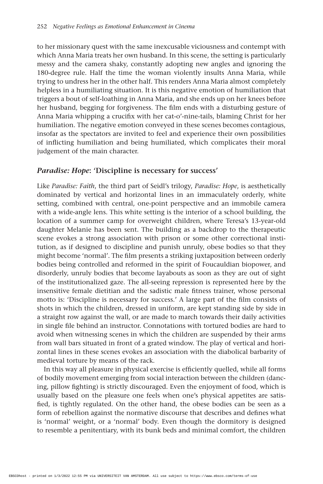to her missionary quest with the same inexcusable viciousness and contempt with which Anna Maria treats her own husband. In this scene, the setting is particularly messy and the camera shaky, constantly adopting new angles and ignoring the 180-degree rule. Half the time the woman violently insults Anna Maria, while trying to undress her in the other half. This renders Anna Maria almost completely helpless in a humiliating situation. It is this negative emotion of humiliation that triggers a bout of self-loathing in Anna Maria, and she ends up on her knees before her husband, begging for forgiveness. The film ends with a disturbing gesture of Anna Maria whipping a crucifix with her cat-o'-nine-tails, blaming Christ for her humiliation. The negative emotion conveyed in these scenes becomes contagious, insofar as the spectators are invited to feel and experience their own possibilities of inflicting humiliation and being humiliated, which complicates their moral judgement of the main character.

### *Paradise: Hope***: 'Discipline is necessary for success'**

Like *Paradise: Faith*, the third part of Seidl's trilogy, *Paradise: Hope*, is aesthetically dominated by vertical and horizontal lines in an immaculately orderly, white setting, combined with central, one-point perspective and an immobile camera with a wide-angle lens. This white setting is the interior of a school building, the location of a summer camp for overweight children, where Teresa's 13-year-old daughter Melanie has been sent. The building as a backdrop to the therapeutic scene evokes a strong association with prison or some other correctional institution, as if designed to discipline and punish unruly, obese bodies so that they might become 'normal'. The film presents a striking juxtaposition between orderly bodies being controlled and reformed in the spirit of Foucauldian biopower, and disorderly, unruly bodies that become layabouts as soon as they are out of sight of the institutionalized gaze. The all-seeing repression is represented here by the insensitive female dietitian and the sadistic male fitness trainer, whose personal motto is: 'Discipline is necessary for success.' A large part of the film consists of shots in which the children, dressed in uniform, are kept standing side by side in a straight row against the wall, or are made to march towards their daily activities in single file behind an instructor. Connotations with tortured bodies are hard to avoid when witnessing scenes in which the children are suspended by their arms from wall bars situated in front of a grated window. The play of vertical and horizontal lines in these scenes evokes an association with the diabolical barbarity of medieval torture by means of the rack.

In this way all pleasure in physical exercise is efficiently quelled, while all forms of bodily movement emerging from social interaction between the children (dancing, pillow fighting) is strictly discouraged. Even the enjoyment of food, which is usually based on the pleasure one feels when one's physical appetites are satisfied, is tightly regulated. On the other hand, the obese bodies can be seen as a form of rebellion against the normative discourse that describes and defines what is 'normal' weight, or a 'normal' body. Even though the dormitory is designed to resemble a penitentiary, with its bunk beds and minimal comfort, the children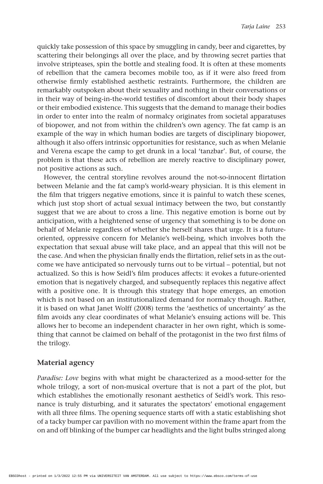quickly take possession of this space by smuggling in candy, beer and cigarettes, by scattering their belongings all over the place, and by throwing secret parties that involve stripteases, spin the bottle and stealing food. It is often at these moments of rebellion that the camera becomes mobile too, as if it were also freed from otherwise firmly established aesthetic restraints. Furthermore, the children are remarkably outspoken about their sexuality and nothing in their conversations or in their way of being-in-the-world testifies of discomfort about their body shapes or their embodied existence. This suggests that the demand to manage their bodies in order to enter into the realm of normalcy originates from societal apparatuses of biopower, and not from within the children's own agency. The fat camp is an example of the way in which human bodies are targets of disciplinary biopower, although it also offers intrinsic opportunities for resistance, such as when Melanie and Verena escape the camp to get drunk in a local 'tanzbar'. But, of course, the problem is that these acts of rebellion are merely reactive to disciplinary power, not positive actions as such.

However, the central storyline revolves around the not-so-innocent flirtation between Melanie and the fat camp's world-weary physician. It is this element in the film that triggers negative emotions, since it is painful to watch these scenes, which just stop short of actual sexual intimacy between the two, but constantly suggest that we are about to cross a line. This negative emotion is borne out by anticipation, with a heightened sense of urgency that something is to be done on behalf of Melanie regardless of whether she herself shares that urge. It is a futureoriented, oppressive concern for Melanie's well-being, which involves both the expectation that sexual abuse will take place, and an appeal that this will not be the case. And when the physician finally ends the flirtation, relief sets in as the outcome we have anticipated so nervously turns out to be virtual – potential, but not actualized. So this is how Seidl's film produces affects: it evokes a future-oriented emotion that is negatively charged, and subsequently replaces this negative affect with a positive one. It is through this strategy that hope emerges, an emotion which is not based on an institutionalized demand for normalcy though. Rather, it is based on what Janet Wolff (2008) terms the 'aesthetics of uncertainty' as the film avoids any clear coordinates of what Melanie's ensuing actions will be. This allows her to become an independent character in her own right, which is something that cannot be claimed on behalf of the protagonist in the two first films of the trilogy.

### **Material agency**

*Paradise: Love* begins with what might be characterized as a mood-setter for the whole trilogy, a sort of non-musical overture that is not a part of the plot, but which establishes the emotionally resonant aesthetics of Seidl's work. This resonance is truly disturbing, and it saturates the spectators' emotional engagement with all three films. The opening sequence starts off with a static establishing shot of a tacky bumper car pavilion with no movement within the frame apart from the on and off blinking of the bumper car headlights and the light bulbs stringed along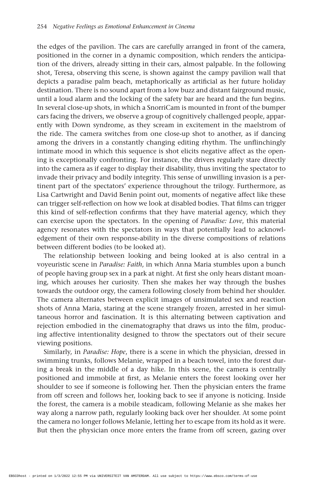the edges of the pavilion. The cars are carefully arranged in front of the camera, positioned in the corner in a dynamic composition, which renders the anticipation of the drivers, already sitting in their cars, almost palpable. In the following shot, Teresa, observing this scene, is shown against the campy pavilion wall that depicts a paradise palm beach, metaphorically as artificial as her future holiday destination. There is no sound apart from a low buzz and distant fairground music, until a loud alarm and the locking of the safety bar are heard and the fun begins. In several close-up shots, in which a SnorriCam is mounted in front of the bumper cars facing the drivers, we observe a group of cognitively challenged people, apparently with Down syndrome, as they scream in excitement in the maelstrom of the ride. The camera switches from one close-up shot to another, as if dancing among the drivers in a constantly changing editing rhythm. The unflinchingly intimate mood in which this sequence is shot elicits negative affect as the opening is exceptionally confronting. For instance, the drivers regularly stare directly into the camera as if eager to display their disability, thus inviting the spectator to invade their privacy and bodily integrity. This sense of unwilling invasion is a pertinent part of the spectators' experience throughout the trilogy. Furthermore, as Lisa Cartwright and David Benin point out, moments of negative affect like these can trigger self-reflection on how we look at disabled bodies. That films can trigger this kind of self-reflection confirms that they have material agency, which they can exercise upon the spectators. In the opening of *Paradise: Love*, this material agency resonates with the spectators in ways that potentially lead to acknowledgement of their own response-ability in the diverse compositions of relations between different bodies (to be looked at).

The relationship between looking and being looked at is also central in a voyeuristic scene in *Paradise: Faith*, in which Anna Maria stumbles upon a bunch of people having group sex in a park at night. At first she only hears distant moaning, which arouses her curiosity. Then she makes her way through the bushes towards the outdoor orgy, the camera following closely from behind her shoulder. The camera alternates between explicit images of unsimulated sex and reaction shots of Anna Maria, staring at the scene strangely frozen, arrested in her simultaneous horror and fascination. It is this alternating between captivation and rejection embodied in the cinematography that draws us into the film, producing affective intentionality designed to throw the spectators out of their secure viewing positions.

Similarly, in *Paradise: Hope*, there is a scene in which the physician, dressed in swimming trunks, follows Melanie, wrapped in a beach towel, into the forest during a break in the middle of a day hike. In this scene, the camera is centrally positioned and immobile at first, as Melanie enters the forest looking over her shoulder to see if someone is following her. Then the physician enters the frame from off screen and follows her, looking back to see if anyone is noticing. Inside the forest, the camera is a mobile steadicam, following Melanie as she makes her way along a narrow path, regularly looking back over her shoulder. At some point the camera no longer follows Melanie, letting her to escape from its hold as it were. But then the physician once more enters the frame from off screen, gazing over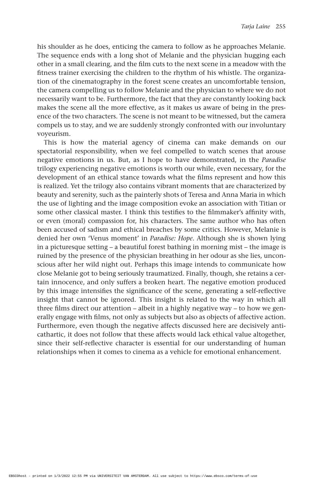his shoulder as he does, enticing the camera to follow as he approaches Melanie. The sequence ends with a long shot of Melanie and the physician hugging each other in a small clearing, and the film cuts to the next scene in a meadow with the fitness trainer exercising the children to the rhythm of his whistle. The organization of the cinematography in the forest scene creates an uncomfortable tension, the camera compelling us to follow Melanie and the physician to where we do not necessarily want to be. Furthermore, the fact that they are constantly looking back makes the scene all the more effective, as it makes us aware of being in the presence of the two characters. The scene is not meant to be witnessed, but the camera compels us to stay, and we are suddenly strongly confronted with our involuntary voyeurism.

This is how the material agency of cinema can make demands on our spectatorial responsibility, when we feel compelled to watch scenes that arouse negative emotions in us. But, as I hope to have demonstrated, in the *Paradise* trilogy experiencing negative emotions is worth our while, even necessary, for the development of an ethical stance towards what the films represent and how this is realized. Yet the trilogy also contains vibrant moments that are characterized by beauty and serenity, such as the painterly shots of Teresa and Anna Maria in which the use of lighting and the image composition evoke an association with Titian or some other classical master. I think this testifies to the filmmaker's affinity with, or even (moral) compassion for, his characters. The same author who has often been accused of sadism and ethical breaches by some critics. However, Melanie is denied her own 'Venus moment' in *Paradise: Hope*. Although she is shown lying in a picturesque setting – a beautiful forest bathing in morning mist – the image is ruined by the presence of the physician breathing in her odour as she lies, unconscious after her wild night out. Perhaps this image intends to communicate how close Melanie got to being seriously traumatized. Finally, though, she retains a certain innocence, and only suffers a broken heart. The negative emotion produced by this image intensifies the significance of the scene, generating a self-reflective insight that cannot be ignored. This insight is related to the way in which all three films direct our attention – albeit in a highly negative way – to how we generally engage with films, not only as subjects but also as objects of affective action. Furthermore, even though the negative affects discussed here are decisively anticathartic, it does not follow that these affects would lack ethical value altogether, since their self-reflective character is essential for our understanding of human relationships when it comes to cinema as a vehicle for emotional enhancement.